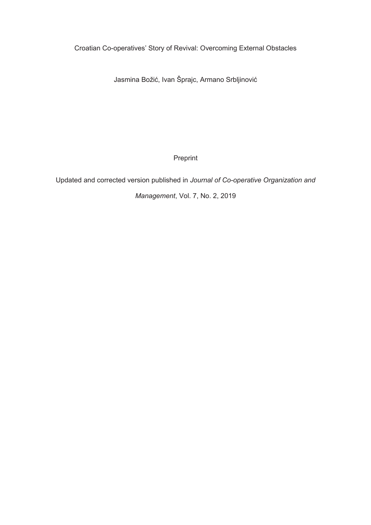Croatian Co-operatives' Story of Revival: Overcoming External Obstacles

Jasmina Božić, Ivan Šprajc, Armano Srbljinović

Preprint

Updated and corrected version published in *Journal of Co-operative Organization and* 

*Management*, Vol. 7, No. 2, 2019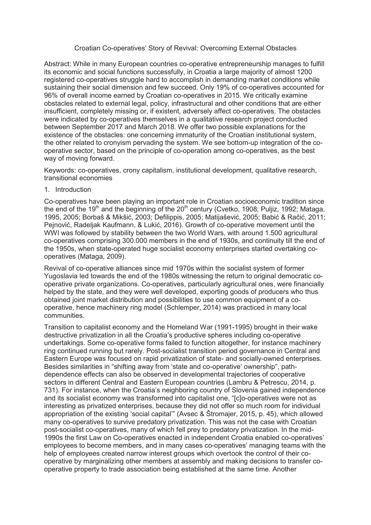# Croatian Co-operatives' Story of Revival: Overcoming External Obstacles

Abstract: While in many European countries co-operative entrepreneurship manages to fulfill its economic and social functions successfully, in Croatia a large majority of almost 1200 registered co-operatives struggle hard to accomplish in demanding market conditions while sustaining their social dimension and few succeed. Only 19% of co-operatives accounted for 96% of overall income earned by Croatian co-operatives in 2015. We critically examine obstacles related to external legal, policy, infrastructural and other conditions that are either insufficient, completely missing or, if existent, adversely affect co-operatives. The obstacles were indicated by co-operatives themselves in a qualitative research project conducted between September 2017 and March 2018. We offer two possible explanations for the existence of the obstacles: one concerning immaturity of the Croatian institutional system, the other related to cronyism pervading the system. We see bottom-up integration of the cooperative sector, based on the principle of co-operation among co-operatives, as the best way of moving forward.

Keywords: co-operatives, crony capitalism, institutional development, qualitative research, transitional economies

1. Introduction

Co-operatives have been playing an important role in Croatian socioeconomic tradition since the end of the 19<sup>th</sup> and the beginning of the  $20<sup>th</sup>$  century (Cvetko, 1908; Puljiz, 1992; Mataga, 1995, 2005; Borbaš & Mikšić, 2003; Defilippis, 2005; Matijašević, 2005; Babić & Račić, 2011; Pejnović, Radeljak Kaufmann, & Lukić, 2016). Growth of co-operative movement until the WWI was followed by stability between the two World Wars, with around 1.500 agricultural co-operatives comprising 300.000 members in the end of 1930s, and continuity till the end of the 1950s, when state-operated huge socialist economy enterprises started overtaking cooperatives (Mataga, 2009).

Revival of co-operative alliances since mid 1970s within the socialist system of former Yugoslavia led towards the end of the 1980s witnessing the return to original democratic cooperative private organizations. Co-operatives, particularly agricultural ones, were financially helped by the state, and they were well developed, exporting goods of producers who thus obtained joint market distribution and possibilities to use common equipment of a cooperative, hence machinery ring model (Schlemper, 2014) was practiced in many local communities.

Transition to capitalist economy and the Homeland War (1991-1995) brought in their wake destructive privatization in all the Croatia's productive spheres including co-operative undertakings. Some co-operative forms failed to function altogether, for instance machinery ring continued running but rarely. Post-socialist transition period governance in Central and Eastern Europe was focused on rapid privatization of state- and socially-owned enterprises. Besides similarities in "shifting away from 'state and co-operative' ownership", pathdependence effects can also be observed in developmental trajectories of cooperative sectors in different Central and Eastern European countries (Lambru & Petrescu, 2014, p. 731). For instance, when the Croatia's neighboring country of Slovenia gained independence and its socialist economy was transformed into capitalist one, "[c]o-operatives were not as interesting as privatized enterprises, because they did not offer so much room for individual appropriation of the existing 'social capital'" (Avsec & Štromajer, 2015, p. 45), which allowed many co-operatives to survive predatory privatization. This was not the case with Croatian post-socialist co-operatives, many of which fell prey to predatory privatization. In the mid-1990s the first Law on Co-operatives enacted in independent Croatia enabled co-operatives' employees to become members, and in many cases co-operatives' managing teams with the help of employees created narrow interest groups which overtook the control of their cooperative by marginalizing other members at assembly and making decisions to transfer cooperative property to trade association being established at the same time. Another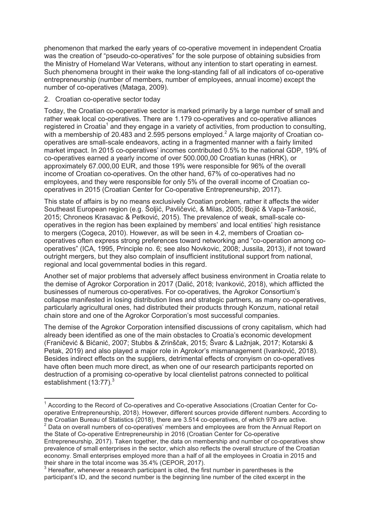phenomenon that marked the early years of co-operative movement in independent Croatia was the creation of "pseudo-co-operatives" for the sole purpose of obtaining subsidies from the Ministry of Homeland War Veterans, without any intention to start operating in earnest. Such phenomena brought in their wake the long-standing fall of all indicators of co-operative entrepreneurship (number of members, number of employees, annual income) except the number of co-operatives (Mataga, 2009).

## 2. Croatian co-operative sector today

 $\overline{a}$ 

Today, the Croatian co-ooperative sector is marked primarily by a large number of small and rather weak local co-operatives. There are 1.179 co-operatives and co-operative alliances registered in Croatia<sup>1</sup> and they engage in a variety of activities, from production to consulting, with a membership of 20.483 and 2.595 persons employed.<sup>2</sup> A large majority of Croatian cooperatives are small-scale endeavors, acting in a fragmented manner with a fairly limited market impact. In 2015 co-operatives' incomes contributed 0.5% to the national GDP, 19% of co-operatives earned a yearly income of over 500.000,00 Croatian kunas (HRK), or approximately 67.000,00 EUR, and those 19% were responsible for 96% of the overall income of Croatian co-operatives. On the other hand, 67% of co-operatives had no employees, and they were responsible for only 5% of the overall income of Croatian cooperatives in 2015 (Croatian Center for Co-operative Entrepreneurship, 2017).

This state of affairs is by no means exclusively Croatian problem, rather it affects the wider Southeast European region (e.g. Šoljić, Pavličević, & Milas, 2005; Bojić & Vapa-Tankosić, 2015; Chroneos Krasavac & Petković, 2015). The prevalence of weak, small-scale cooperatives in the region has been explained by members' and local entities' high resistance to mergers (Cogeca, 2010). However, as will be seen in 4.2, members of Croatian cooperatives often express strong preferences toward networking and "co-operation among cooperatives" (ICA, 1995, Principle no. 6; see also Novkovic, 2008; Jussila, 2013), if not toward outright mergers, but they also complain of insufficient institutional support from national, regional and local governmental bodies in this regard.

Another set of major problems that adversely affect business environment in Croatia relate to the demise of Agrokor Corporation in 2017 (Dalić, 2018; Ivanković, 2018), which afflicted the businesses of numerous co-operatives. For co-operatives, the Agrokor Consortium's collapse manifested in losing distribution lines and strategic partners, as many co-operatives, particularly agricultural ones, had distributed their products through Konzum, national retail chain store and one of the Agrokor Corporation's most successful companies.

The demise of the Agrokor Corporation intensified discussions of crony capitalism, which had already been identified as one of the main obstacles to Croatia's economic development (Franičević & Bićanić, 2007; Stubbs & Zrinščak, 2015; Švarc & Lažnjak, 2017; Kotarski & Petak, 2019) and also played a major role in Agrokor's mismanagement (Ivanković, 2018). Besides indirect effects on the suppliers, detrimental effects of cronyism on co-operatives have often been much more direct, as when one of our research participants reported on destruction of a promising co-operative by local clientelist patrons connected to political establishment  $(13:77).<sup>3</sup>$ 

<sup>&</sup>lt;sup>1</sup> According to the Record of Co-operatives and Co-operative Associations (Croatian Center for Cooperative Entrepreneurship, 2018). However, different sources provide different numbers. According to the Croatian Bureau of Statistics (2018), there are 3.514 co-operatives, of which 979 are active.

 $2$  Data on overall numbers of co-operatives' members and employees are from the Annual Report on the State of Co-operative Entrepreneurship in 2016 (Croatian Center for Co-operative Entrepreneurship, 2017). Taken together, the data on membership and number of co-operatives show prevalence of small enterprises in the sector, which also reflects the overall structure of the Croatian economy. Small enterprises employed more than a half of all the employees in Croatia in 2015 and their share in the total income was 35.4% (CEPOR, 2017).

 $3$  Hereafter, whenever a research participant is cited, the first number in parentheses is the participant's ID, and the second number is the beginning line number of the cited excerpt in the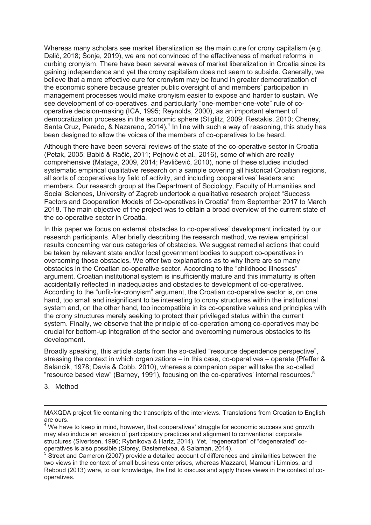Whereas many scholars see market liberalization as the main cure for crony capitalism (e.g. Dalić, 2018; Šonje, 2019), we are not convinced of the effectiveness of market reforms in curbing cronyism. There have been several waves of market liberalization in Croatia since its gaining independence and yet the crony capitalism does not seem to subside. Generally, we believe that a more effective cure for cronyism may be found in greater democratization of the economic sphere because greater public oversight of and members' participation in management processes would make cronyism easier to expose and harder to sustain. We see development of co-operatives, and particularly "one-member-one-vote" rule of cooperative decision-making (ICA, 1995; Reynolds, 2000), as an important element of democratization processes in the economic sphere (Stiglitz, 2009; Restakis, 2010; Cheney, Santa Cruz, Peredo, & Nazareno, 2014).<sup>4</sup> In line with such a way of reasoning, this study has been designed to allow the voices of the members of co-operatives to be heard.

Although there have been several reviews of the state of the co-operative sector in Croatia (Petak, 2005; Babić & Račić, 2011; Pejnović et al., 2016), some of which are really comprehensive (Mataga, 2009, 2014; Pavličević, 2010), none of these studies included systematic empirical qualitative research on a sample covering all historical Croatian regions, all sorts of cooperatives by field of activity, and including cooperatives' leaders and members. Our research group at the Department of Sociology, Faculty of Humanities and Social Sciences, University of Zagreb undertook a qualitative research project "Success Factors and Cooperation Models of Co-operatives in Croatia" from September 2017 to March 2018. The main objective of the project was to obtain a broad overview of the current state of the co-operative sector in Croatia.

In this paper we focus on external obstacles to co-operatives' development indicated by our research participants. After briefly describing the research method, we review empirical results concerning various categories of obstacles. We suggest remedial actions that could be taken by relevant state and/or local government bodies to support co-operatives in overcoming those obstacles. We offer two explanations as to why there are so many obstacles in the Croatian co-operative sector. According to the "childhood illnesses" argument, Croatian institutional system is insufficiently mature and this immaturity is often accidentally reflected in inadequacies and obstacles to development of co-operatives. According to the "unfit-for-cronyism" argument, the Croatian co-operative sector is, on one hand, too small and insignificant to be interesting to crony structures within the institutional system and, on the other hand, too incompatible in its co-operative values and principles with the crony structures merely seeking to protect their privileged status within the current system. Finally, we observe that the principle of co-operation among co-operatives may be crucial for bottom-up integration of the sector and overcoming numerous obstacles to its development.

Broadly speaking, this article starts from the so-called "resource dependence perspective", stressing the context in which organizations – in this case, co-operatives – operate (Pfeffer & Salancik, 1978; Davis & Cobb, 2010), whereas a companion paper will take the so-called "resource based view" (Barney, 1991), focusing on the co-operatives' internal resources.<sup>5</sup>

3. Method

 $\overline{a}$ 

MAXQDA project file containing the transcripts of the interviews. Translations from Croatian to English are ours.

 $4$  We have to keep in mind, however, that cooperatives' struggle for economic success and growth may also induce an erosion of participatory practices and alignment to conventional corporate structures (Sivertsen, 1996; Rybnikova & Hartz, 2014). Yet, "regeneration" of "degenerated" cooperatives is also possible (Storey, Basterretxea, & Salaman, 2014).

 $5$  Street and Cameron (2007) provide a detailed account of differences and similarities between the two views in the context of small business enterprises, whereas Mazzarol, Mamouni Limnios, and Reboud (2013) were, to our knowledge, the first to discuss and apply those views in the context of cooperatives.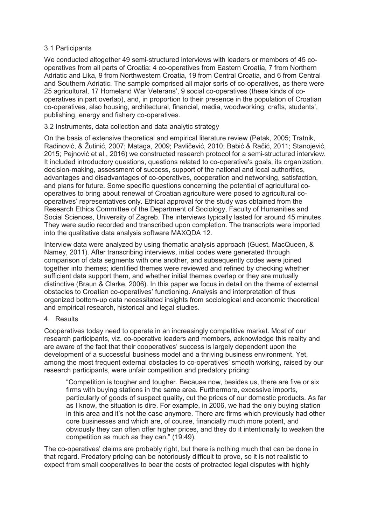# 3.1 Participants

We conducted altogether 49 semi-structured interviews with leaders or members of 45 cooperatives from all parts of Croatia: 4 co-operatives from Eastern Croatia, 7 from Northern Adriatic and Lika, 9 from Northwestern Croatia, 19 from Central Croatia, and 6 from Central and Southern Adriatic. The sample comprised all major sorts of co-operatives, as there were 25 agricultural, 17 Homeland War Veterans', 9 social co-operatives (these kinds of cooperatives in part overlap), and, in proportion to their presence in the population of Croatian co-operatives, also housing, architectural, financial, media, woodworking, crafts, students', publishing, energy and fishery co-operatives.

# 3.2 Instruments, data collection and data analytic strategy

On the basis of extensive theoretical and empirical literature review (Petak, 2005; Tratnik, Radinović, & Žutinić, 2007; Mataga, 2009; Pavličević, 2010; Babić & Račić, 2011; Stanojević, 2015; Pejnović et al., 2016) we constructed research protocol for a semi-structured interview. It included introductory questions, questions related to co-operative's goals, its organization, decision-making, assessment of success, support of the national and local authorities, advantages and disadvantages of co-operatives, cooperation and networking, satisfaction, and plans for future. Some specific questions concerning the potential of agricultural cooperatives to bring about renewal of Croatian agriculture were posed to agricultural cooperatives' representatives only. Ethical approval for the study was obtained from the Research Ethics Committee of the Department of Sociology, Faculty of Humanities and Social Sciences, University of Zagreb. The interviews typically lasted for around 45 minutes. They were audio recorded and transcribed upon completion. The transcripts were imported into the qualitative data analysis software MAXQDA 12.

Interview data were analyzed by using thematic analysis approach (Guest, MacQueen, & Namey, 2011). After transcribing interviews, initial codes were generated through comparison of data segments with one another, and subsequently codes were joined together into themes; identified themes were reviewed and refined by checking whether sufficient data support them, and whether initial themes overlap or they are mutually distinctive (Braun & Clarke, 2006). In this paper we focus in detail on the theme of external obstacles to Croatian co-operatives' functioning. Analysis and interpretation of thus organized bottom-up data necessitated insights from sociological and economic theoretical and empirical research, historical and legal studies.

# 4. Results

Cooperatives today need to operate in an increasingly competitive market. Most of our research participants, viz. co-operative leaders and members, acknowledge this reality and are aware of the fact that their cooperatives' success is largely dependent upon the development of a successful business model and a thriving business environment. Yet, among the most frequent external obstacles to co-operatives' smooth working, raised by our research participants, were unfair competition and predatory pricing:

"Competition is tougher and tougher. Because now, besides us, there are five or six firms with buying stations in the same area. Furthermore, excessive imports, particularly of goods of suspect quality, cut the prices of our domestic products. As far as I know, the situation is dire. For example, in 2006, we had the only buying station in this area and it's not the case anymore. There are firms which previously had other core businesses and which are, of course, financially much more potent, and obviously they can often offer higher prices, and they do it intentionally to weaken the competition as much as they can." (19:49).

The co-operatives' claims are probably right, but there is nothing much that can be done in that regard. Predatory pricing can be notoriously difficult to prove, so it is not realistic to expect from small cooperatives to bear the costs of protracted legal disputes with highly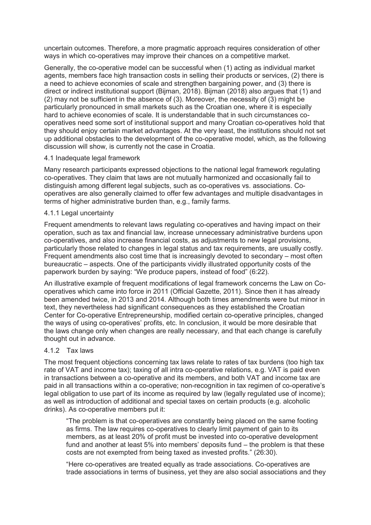uncertain outcomes. Therefore, a more pragmatic approach requires consideration of other ways in which co-operatives may improve their chances on a competitive market.

Generally, the co-operative model can be successful when (1) acting as individual market agents, members face high transaction costs in selling their products or services, (2) there is a need to achieve economies of scale and strengthen bargaining power, and (3) there is direct or indirect institutional support (Bijman, 2018). Bijman (2018) also argues that (1) and (2) may not be sufficient in the absence of (3). Moreover, the necessity of (3) might be particularly pronounced in small markets such as the Croatian one, where it is especially hard to achieve economies of scale. It is understandable that in such circumstances cooperatives need some sort of institutional support and many Croatian co-operatives hold that they should enjoy certain market advantages. At the very least, the institutions should not set up additional obstacles to the development of the co-operative model, which, as the following discussion will show, is currently not the case in Croatia.

## 4.1 Inadequate legal framework

Many research participants expressed objections to the national legal framework regulating co-operatives. They claim that laws are not mutually harmonized and occasionally fail to distinguish among different legal subjects, such as co-operatives vs. associations. Cooperatives are also generally claimed to offer few advantages and multiple disadvantages in terms of higher administrative burden than, e.g., family farms.

## 4.1.1 Legal uncertainty

Frequent amendments to relevant laws regulating co-operatives and having impact on their operation, such as tax and financial law, increase unnecessary administrative burdens upon co-operatives, and also increase financial costs, as adjustments to new legal provisions, particularly those related to changes in legal status and tax requirements, are usually costly. Frequent amendments also cost time that is increasingly devoted to secondary – most often bureaucratic – aspects. One of the participants vividly illustrated opportunity costs of the paperwork burden by saying: "We produce papers, instead of food" (6:22).

An illustrative example of frequent modifications of legal framework concerns the Law on Cooperatives which came into force in 2011 (Official Gazette, 2011). Since then it has already been amended twice, in 2013 and 2014. Although both times amendments were but minor in text, they nevertheless had significant consequences as they established the Croatian Center for Co-operative Entrepreneurship, modified certain co-operative principles, changed the ways of using co-operatives' profits, etc. In conclusion, it would be more desirable that the laws change only when changes are really necessary, and that each change is carefully thought out in advance.

# 4.1.2 Tax laws

The most frequent objections concerning tax laws relate to rates of tax burdens (too high tax rate of VAT and income tax); taxing of all intra co-operative relations, e.g. VAT is paid even in transactions between a co-operative and its members, and both VAT and income tax are paid in all transactions within a co-operative; non-recognition in tax regimen of co-operative's legal obligation to use part of its income as required by law (legally regulated use of income); as well as introduction of additional and special taxes on certain products (e.g. alcoholic drinks). As co-operative members put it:

"The problem is that co-operatives are constantly being placed on the same footing as firms. The law requires co-operatives to clearly limit payment of gain to its members, as at least 20% of profit must be invested into co-operative development fund and another at least 5% into members' deposits fund – the problem is that these costs are not exempted from being taxed as invested profits." (26:30).

"Here co-operatives are treated equally as trade associations. Co-operatives are trade associations in terms of business, yet they are also social associations and they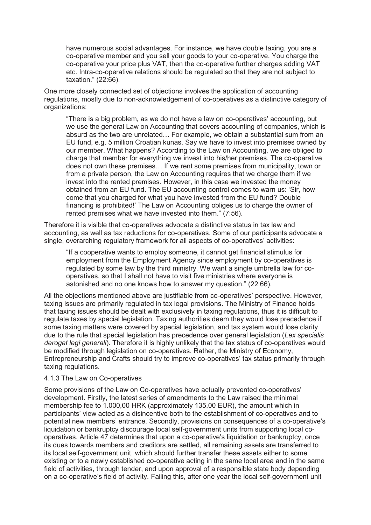have numerous social advantages. For instance, we have double taxing, you are a co-operative member and you sell your goods to your co-operative. You charge the co-operative your price plus VAT, then the co-operative further charges adding VAT etc. Intra-co-operative relations should be regulated so that they are not subject to taxation." (22:66).

One more closely connected set of objections involves the application of accounting regulations, mostly due to non-acknowledgement of co-operatives as a distinctive category of organizations:

"There is a big problem, as we do not have a law on co-operatives' accounting, but we use the general Law on Accounting that covers accounting of companies, which is absurd as the two are unrelated… For example, we obtain a substantial sum from an EU fund, e.g. 5 million Croatian kunas. Say we have to invest into premises owned by our member. What happens? According to the Law on Accounting, we are obliged to charge that member for everything we invest into his/her premises. The co-operative does not own these premises… If we rent some premises from municipality, town or from a private person, the Law on Accounting requires that we charge them if we invest into the rented premises. However, in this case we invested the money obtained from an EU fund. The EU accounting control comes to warn us: 'Sir, how come that you charged for what you have invested from the EU fund? Double financing is prohibited!' The Law on Accounting obliges us to charge the owner of rented premises what we have invested into them." (7:56).

Therefore it is visible that co-operatives advocate a distinctive status in tax law and accounting, as well as tax reductions for co-operatives. Some of our participants advocate a single, overarching regulatory framework for all aspects of co-operatives' activities:

"If a cooperative wants to employ someone, it cannot get financial stimulus for employment from the Employment Agency since employment by co-operatives is regulated by some law by the third ministry. We want a single umbrella law for cooperatives, so that I shall not have to visit five ministries where everyone is astonished and no one knows how to answer my question." (22:66).

All the objections mentioned above are justifiable from co-operatives' perspective. However, taxing issues are primarily regulated in tax legal provisions. The Ministry of Finance holds that taxing issues should be dealt with exclusively in taxing regulations, thus it is difficult to regulate taxes by special legislation. Taxing authorities deem they would lose precedence if some taxing matters were covered by special legislation, and tax system would lose clarity due to the rule that special legislation has precedence over general legislation (*Lex specialis derogat legi generali*). Therefore it is highly unlikely that the tax status of co-operatives would be modified through legislation on co-operatives. Rather, the Ministry of Economy, Entrepreneurship and Crafts should try to improve co-operatives' tax status primarily through taxing regulations.

#### 4.1.3 The Law on Co-operatives

Some provisions of the Law on Co-operatives have actually prevented co-operatives' development. Firstly, the latest series of amendments to the Law raised the minimal membership fee to 1.000,00 HRK (approximately 135,00 EUR), the amount which in participants' view acted as a disincentive both to the establishment of co-operatives and to potential new members' entrance. Secondly, provisions on consequences of a co-operative's liquidation or bankruptcy discourage local self-government units from supporting local cooperatives. Article 47 determines that upon a co-operative's liquidation or bankruptcy, once its dues towards members and creditors are settled, all remaining assets are transferred to its local self-government unit, which should further transfer these assets either to some existing or to a newly established co-operative acting in the same local area and in the same field of activities, through tender, and upon approval of a responsible state body depending on a co-operative's field of activity. Failing this, after one year the local self-government unit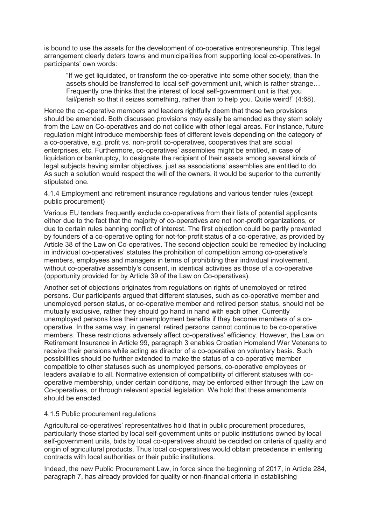is bound to use the assets for the development of co-operative entrepreneurship. This legal arrangement clearly deters towns and municipalities from supporting local co-operatives. In participants' own words:

"If we get liquidated, or transform the co-operative into some other society, than the assets should be transferred to local self-government unit, which is rather strange… Frequently one thinks that the interest of local self-government unit is that you fail/perish so that it seizes something, rather than to help you. Quite weird!" (4:68).

Hence the co-operative members and leaders rightfully deem that these two provisions should be amended. Both discussed provisions may easily be amended as they stem solely from the Law on Co-operatives and do not collide with other legal areas. For instance, future regulation might introduce membership fees of different levels depending on the category of a co-operative, e.g. profit vs. non-profit co-operatives, cooperatives that are social enterprises, etc. Furthermore, co-operatives' assemblies might be entitled, in case of liquidation or bankruptcy, to designate the recipient of their assets among several kinds of legal subjects having similar objectives, just as associations' assemblies are entitled to do. As such a solution would respect the will of the owners, it would be superior to the currently stipulated one.

4.1.4 Employment and retirement insurance regulations and various tender rules (except public procurement)

Various EU tenders frequently exclude co-operatives from their lists of potential applicants either due to the fact that the majority of co-operatives are not non-profit organizations, or due to certain rules banning conflict of interest. The first objection could be partly prevented by founders of a co-operative opting for not-for-profit status of a co-operative, as provided by Article 38 of the Law on Co-operatives. The second objection could be remedied by including in individual co-operatives' statutes the prohibition of competition among co-operative's members, employees and managers in terms of prohibiting their individual involvement, without co-operative assembly's consent, in identical activities as those of a co-operative (opportunity provided for by Article 39 of the Law on Co-operatives).

Another set of objections originates from regulations on rights of unemployed or retired persons. Our participants argued that different statuses, such as co-operative member and unemployed person status, or co-operative member and retired person status, should not be mutually exclusive, rather they should go hand in hand with each other. Currently unemployed persons lose their unemployment benefits if they become members of a cooperative. In the same way, in general, retired persons cannot continue to be co-operative members. These restrictions adversely affect co-operatives' efficiency. However, the Law on Retirement Insurance in Article 99, paragraph 3 enables Croatian Homeland War Veterans to receive their pensions while acting as director of a co-operative on voluntary basis. Such possibilities should be further extended to make the status of a co-operative member compatible to other statuses such as unemployed persons, co-operative employees or leaders available to all. Normative extension of compatibility of different statuses with cooperative membership, under certain conditions, may be enforced either through the Law on Co-operatives, or through relevant special legislation. We hold that these amendments should be enacted.

#### 4.1.5 Public procurement regulations

Agricultural co-operatives' representatives hold that in public procurement procedures, particularly those started by local self-government units or public institutions owned by local self-government units, bids by local co-operatives should be decided on criteria of quality and origin of agricultural products. Thus local co-operatives would obtain precedence in entering contracts with local authorities or their public institutions.

Indeed, the new Public Procurement Law, in force since the beginning of 2017, in Article 284, paragraph 7, has already provided for quality or non-financial criteria in establishing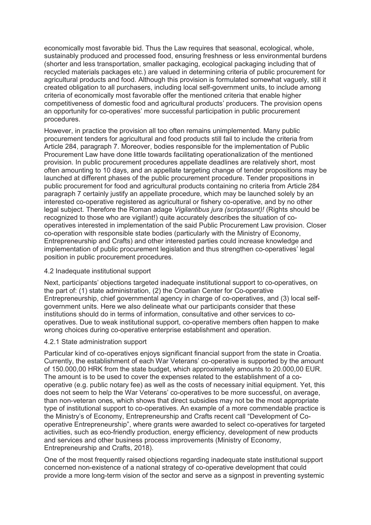economically most favorable bid. Thus the Law requires that seasonal, ecological, whole, sustainably produced and processed food, ensuring freshness or less environmental burdens (shorter and less transportation, smaller packaging, ecological packaging including that of recycled materials packages etc.) are valued in determining criteria of public procurement for agricultural products and food. Although this provision is formulated somewhat vaguely, still it created obligation to all purchasers, including local self-government units, to include among criteria of economically most favorable offer the mentioned criteria that enable higher competitiveness of domestic food and agricultural products' producers. The provision opens an opportunity for co-operatives' more successful participation in public procurement procedures.

However, in practice the provision all too often remains unimplemented. Many public procurement tenders for agricultural and food products still fail to include the criteria from Article 284, paragraph 7. Moreover, bodies responsible for the implementation of Public Procurement Law have done little towards facilitating operationalization of the mentioned provision. In public procurement procedures appellate deadlines are relatively short, most often amounting to 10 days, and an appellate targeting change of tender propositions may be launched at different phases of the public procurement procedure. Tender propositions in public procurement for food and agricultural products containing no criteria from Article 284 paragraph 7 certainly justify an appellate procedure, which may be launched solely by an interested co-operative registered as agricultural or fishery co-operative, and by no other legal subject. Therefore the Roman adage *Vigilantibus jura (scriptasunt)!* (Rights should be recognized to those who are vigilant!) quite accurately describes the situation of cooperatives interested in implementation of the said Public Procurement Law provision. Closer co-operation with responsible state bodies (particularly with the Ministry of Economy, Entrepreneurship and Crafts) and other interested parties could increase knowledge and implementation of public procurement legislation and thus strengthen co-operatives' legal position in public procurement procedures.

# 4.2 Inadequate institutional support

Next, participants' objections targeted inadequate institutional support to co-operatives, on the part of: (1) state administration, (2) the Croatian Center for Co-operative Entrepreneurship, chief governmental agency in charge of co-operatives, and (3) local selfgovernment units. Here we also delineate what our participants consider that these institutions should do in terms of information, consultative and other services to cooperatives. Due to weak institutional support, co-operative members often happen to make wrong choices during co-operative enterprise establishment and operation.

#### 4.2.1 State administration support

Particular kind of co-operatives enjoys significant financial support from the state in Croatia. Currently, the establishment of each War Veterans' co-operative is supported by the amount of 150.000,00 HRK from the state budget, which approximately amounts to 20.000,00 EUR. The amount is to be used to cover the expenses related to the establishment of a cooperative (e.g. public notary fee) as well as the costs of necessary initial equipment. Yet, this does not seem to help the War Veterans' co-operatives to be more successful, on average, than non-veteran ones, which shows that direct subsidies may not be the most appropriate type of institutional support to co-operatives. An example of a more commendable practice is the Ministry's of Economy, Entrepreneurship and Crafts recent call "Development of Cooperative Entrepreneurship", where grants were awarded to select co-operatives for targeted activities, such as eco-friendly production, energy efficiency, development of new products and services and other business process improvements (Ministry of Economy, Entrepreneurship and Crafts, 2018).

One of the most frequently raised objections regarding inadequate state institutional support concerned non-existence of a national strategy of co-operative development that could provide a more long-term vision of the sector and serve as a signpost in preventing systemic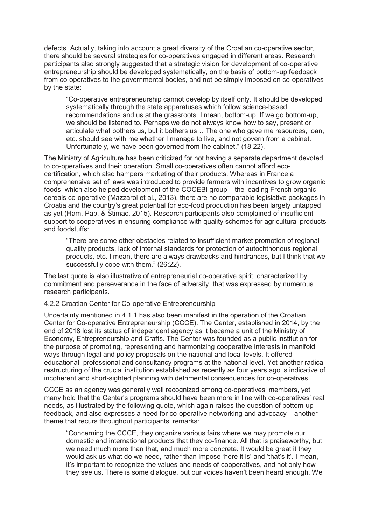defects. Actually, taking into account a great diversity of the Croatian co-operative sector, there should be several strategies for co-operatives engaged in different areas. Research participants also strongly suggested that a strategic vision for development of co-operative entrepreneurship should be developed systematically, on the basis of bottom-up feedback from co-operatives to the governmental bodies, and not be simply imposed on co-operatives by the state:

"Co-operative entrepreneurship cannot develop by itself only. It should be developed systematically through the state apparatuses which follow science-based recommendations and us at the grassroots. I mean, bottom-up. If we go bottom-up, we should be listened to. Perhaps we do not always know how to say, present or articulate what bothers us, but it bothers us… The one who gave me resources, loan, etc. should see with me whether I manage to live, and not govern from a cabinet. Unfortunately, we have been governed from the cabinet." (18:22).

The Ministry of Agriculture has been criticized for not having a separate department devoted to co-operatives and their operation. Small co-operatives often cannot afford ecocertification, which also hampers marketing of their products. Whereas in France a comprehensive set of laws was introduced to provide farmers with incentives to grow organic foods, which also helped development of the COCEBI group – the leading French organic cereals co-operative (Mazzarol et al., 2013), there are no comparable legislative packages in Croatia and the country's great potential for eco-food production has been largely untapped as yet (Ham, Pap, & Štimac, 2015). Research participants also complained of insufficient support to cooperatives in ensuring compliance with quality schemes for agricultural products and foodstuffs:

"There are some other obstacles related to insufficient market promotion of regional quality products, lack of internal standards for protection of autochthonous regional products, etc. I mean, there are always drawbacks and hindrances, but I think that we successfully cope with them." (26:22).

The last quote is also illustrative of entrepreneurial co-operative spirit, characterized by commitment and perseverance in the face of adversity, that was expressed by numerous research participants.

## 4.2.2 Croatian Center for Co-operative Entrepreneurship

Uncertainty mentioned in 4.1.1 has also been manifest in the operation of the Croatian Center for Co-operative Entrepreneurship (CCCE). The Center, established in 2014, by the end of 2018 lost its status of independent agency as it became a unit of the Ministry of Economy, Entrepreneurship and Crafts. The Center was founded as a public institution for the purpose of promoting, representing and harmonizing cooperative interests in manifold ways through legal and policy proposals on the national and local levels. It offered educational, professional and consultancy programs at the national level. Yet another radical restructuring of the crucial institution established as recently as four years ago is indicative of incoherent and short-sighted planning with detrimental consequences for co-operatives.

CCCE as an agency was generally well recognized among co-operatives' members, yet many hold that the Center's programs should have been more in line with co-operatives' real needs, as illustrated by the following quote, which again raises the question of bottom-up feedback, and also expresses a need for co-operative networking and advocacy – another theme that recurs throughout participants' remarks:

"Concerning the CCCE, they organize various fairs where we may promote our domestic and international products that they co-finance. All that is praiseworthy, but we need much more than that, and much more concrete. It would be great it they would ask us what do we need, rather than impose 'here it is' and 'that's it'. I mean, it's important to recognize the values and needs of cooperatives, and not only how they see us. There is some dialogue, but our voices haven't been heard enough. We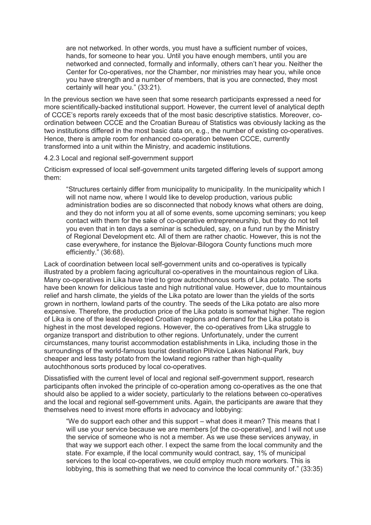are not networked. In other words, you must have a sufficient number of voices, hands, for someone to hear you. Until you have enough members, until you are networked and connected, formally and informally, others can't hear you. Neither the Center for Co-operatives, nor the Chamber, nor ministries may hear you, while once you have strength and a number of members, that is you are connected, they most certainly will hear you." (33:21).

In the previous section we have seen that some research participants expressed a need for more scientifically-backed institutional support. However, the current level of analytical depth of CCCE's reports rarely exceeds that of the most basic descriptive statistics. Moreover, coordination between CCCE and the Croatian Bureau of Statistics was obviously lacking as the two institutions differed in the most basic data on, e.g., the number of existing co-operatives. Hence, there is ample room for enhanced co-operation between CCCE, currently transformed into a unit within the Ministry, and academic institutions.

4.2.3 Local and regional self-government support

Criticism expressed of local self-government units targeted differing levels of support among them:

"Structures certainly differ from municipality to municipality. In the municipality which I will not name now, where I would like to develop production, various public administration bodies are so disconnected that nobody knows what others are doing, and they do not inform you at all of some events, some upcoming seminars; you keep contact with them for the sake of co-operative entrepreneurship, but they do not tell you even that in ten days a seminar is scheduled, say, on a fund run by the Ministry of Regional Development etc. All of them are rather chaotic. However, this is not the case everywhere, for instance the Bjelovar-Bilogora County functions much more efficiently." (36:68).

Lack of coordination between local self-government units and co-operatives is typically illustrated by a problem facing agricultural co-operatives in the mountainous region of Lika. Many co-operatives in Lika have tried to grow autochthonous sorts of Lika potato. The sorts have been known for delicious taste and high nutritional value. However, due to mountainous relief and harsh climate, the yields of the Lika potato are lower than the yields of the sorts grown in northern, lowland parts of the country. The seeds of the Lika potato are also more expensive. Therefore, the production price of the Lika potato is somewhat higher. The region of Lika is one of the least developed Croatian regions and demand for the Lika potato is highest in the most developed regions. However, the co-operatives from Lika struggle to organize transport and distribution to other regions. Unfortunately, under the current circumstances, many tourist accommodation establishments in Lika, including those in the surroundings of the world-famous tourist destination Plitvice Lakes National Park, buy cheaper and less tasty potato from the lowland regions rather than high-quality autochthonous sorts produced by local co-operatives.

Dissatisfied with the current level of local and regional self-government support, research participants often invoked the principle of co-operation among co-operatives as the one that should also be applied to a wider society, particularly to the relations between co-operatives and the local and regional self-government units. Again, the participants are aware that they themselves need to invest more efforts in advocacy and lobbying:

"We do support each other and this support – what does it mean? This means that I will use your service because we are members [of the co-operative], and I will not use the service of someone who is not a member. As we use these services anyway, in that way we support each other. I expect the same from the local community and the state. For example, if the local community would contract, say, 1% of municipal services to the local co-operatives, we could employ much more workers. This is lobbying, this is something that we need to convince the local community of." (33:35)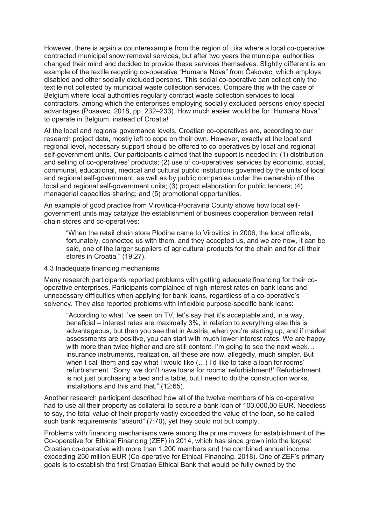However, there is again a counterexample from the region of Lika where a local co-operative contracted municipal snow removal services, but after two years the municipal authorities changed their mind and decided to provide these services themselves. Slightly different is an example of the textile recycling co-operative "Humana Nova" from Čakovec, which employs disabled and other socially excluded persons. This social co-operative can collect only the textile not collected by municipal waste collection services. Compare this with the case of Belgium where local authorities regularly contract waste collection services to local contractors, among which the enterprises employing socially excluded persons enjoy special advantages (Posavec, 2018, pp. 232–233). How much easier would be for "Humana Nova" to operate in Belgium, instead of Croatia!

At the local and regional governance levels, Croatian co-operatives are, according to our research project data, mostly left to cope on their own. However, exactly at the local and regional level, necessary support should be offered to co-operatives by local and regional self-government units. Our participants claimed that the support is needed in: (1) distribution and selling of co-operatives' products; (2) use of co-operatives' services by economic, social, communal, educational, medical and cultural public institutions governed by the units of local and regional self-government, as well as by public companies under the ownership of the local and regional self-government units; (3) project elaboration for public tenders; (4) managerial capacities sharing; and (5) promotional opportunities.

An example of good practice from Virovitica-Podravina County shows how local selfgovernment units may catalyze the establishment of business cooperation between retail chain stores and co-operatives:

"When the retail chain store Plodine came to Virovitica in 2006, the local officials, fortunately, connected us with them, and they accepted us, and we are now, it can be said, one of the larger suppliers of agricultural products for the chain and for all their stores in Croatia*.*" (19:27).

#### 4.3 Inadequate financing mechanisms

Many research participants reported problems with getting adequate financing for their cooperative enterprises. Participants complained of high interest rates on bank loans and unnecessary difficulties when applying for bank loans, regardless of a co-operative's solvency. They also reported problems with inflexible purpose-specific bank loans:

"According to what I've seen on TV, let's say that it's acceptable and, in a way, beneficial – interest rates are maximally 3%, in relation to everything else this is advantageous, but then you see that in Austria, when you're starting up, and if market assessments are positive, you can start with much lower interest rates. We are happy with more than twice higher and are still content. I'm going to see the next week... insurance instruments, realization, all these are now, allegedly, much simpler. But when I call them and say what I would like (...) I'd like to take a loan for rooms' refurbishment. 'Sorry, we don't have loans for rooms' refurbishment!' Refurbishment is not just purchasing a bed and a table, but I need to do the construction works, installations and this and that." (12:65).

Another research participant described how all of the twelve members of his co-operative had to use all their property as collateral to secure a bank loan of 100.000,00 EUR. Needless to say, the total value of their property vastly exceeded the value of the loan, so he called such bank requirements "absurd" (7:70), yet they could not but comply.

Problems with financing mechanisms were among the prime movers for establishment of the Co-operative for Ethical Financing (ZEF) in 2014, which has since grown into the largest Croatian co-operative with more than 1.200 members and the combined annual income exceeding 250 million EUR (Co-operative for Ethical Financing, 2018). One of ZEF's primary goals is to establish the first Croatian Ethical Bank that would be fully owned by the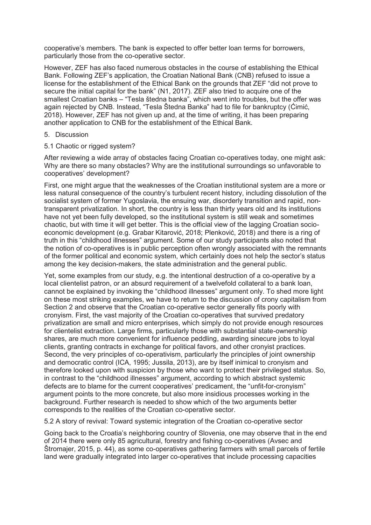cooperative's members. The bank is expected to offer better loan terms for borrowers, particularly those from the co-operative sector.

However, ZEF has also faced numerous obstacles in the course of establishing the Ethical Bank. Following ZEF's application, the Croatian National Bank (CNB) refused to issue a license for the establishment of the Ethical Bank on the grounds that ZEF "did not prove to secure the initial capital for the bank" (N1, 2017). ZEF also tried to acquire one of the smallest Croatian banks – "Tesla štedna banka", which went into troubles, but the offer was again rejected by CNB. Instead, "Tesla Štedna Banka" had to file for bankruptcy (Ćimić, 2018). However, ZEF has not given up and, at the time of writing, it has been preparing another application to CNB for the establishment of the Ethical Bank.

- 5. Discussion
- 5.1 Chaotic or rigged system?

After reviewing a wide array of obstacles facing Croatian co-operatives today, one might ask: Why are there so many obstacles? Why are the institutional surroundings so unfavorable to cooperatives' development?

First, one might argue that the weaknesses of the Croatian institutional system are a more or less natural consequence of the country's turbulent recent history, including dissolution of the socialist system of former Yugoslavia, the ensuing war, disorderly transition and rapid, nontransparent privatization. In short, the country is less than thirty years old and its institutions have not yet been fully developed, so the institutional system is still weak and sometimes chaotic, but with time it will get better. This is the official view of the lagging Croatian socioeconomic development (e.g. Grabar Kitarović, 2018; Plenković, 2018) and there is a ring of truth in this "childhood illnesses" argument. Some of our study participants also noted that the notion of co-operatives is in public perception often wrongly associated with the remnants of the former political and economic system, which certainly does not help the sector's status among the key decision-makers, the state administration and the general public.

Yet, some examples from our study, e.g. the intentional destruction of a co-operative by a local clientelist patron, or an absurd requirement of a twelvefold collateral to a bank loan, cannot be explained by invoking the "childhood illnesses" argument only. To shed more light on these most striking examples, we have to return to the discussion of crony capitalism from Section 2 and observe that the Croatian co-operative sector generally fits poorly with cronyism. First, the vast majority of the Croatian co-operatives that survived predatory privatization are small and micro enterprises, which simply do not provide enough resources for clientelist extraction. Large firms, particularly those with substantial state-ownership shares, are much more convenient for influence peddling, awarding sinecure jobs to loyal clients, granting contracts in exchange for political favors, and other cronyist practices. Second, the very principles of co-operativism, particularly the principles of joint ownership and democratic control (ICA, 1995; Jussila, 2013), are by itself inimical to cronyism and therefore looked upon with suspicion by those who want to protect their privileged status. So, in contrast to the "childhood illnesses" argument, according to which abstract systemic defects are to blame for the current cooperatives' predicament, the "unfit-for-cronyism" argument points to the more concrete, but also more insidious processes working in the background. Further research is needed to show which of the two arguments better corresponds to the realities of the Croatian co-operative sector.

5.2 A story of revival: Toward systemic integration of the Croatian co-operative sector

Going back to the Croatia's neighboring country of Slovenia, one may observe that in the end of 2014 there were only 85 agricultural, forestry and fishing co-operatives (Avsec and Štromajer, 2015, p. 44), as some co-operatives gathering farmers with small parcels of fertile land were gradually integrated into larger co-operatives that include processing capacities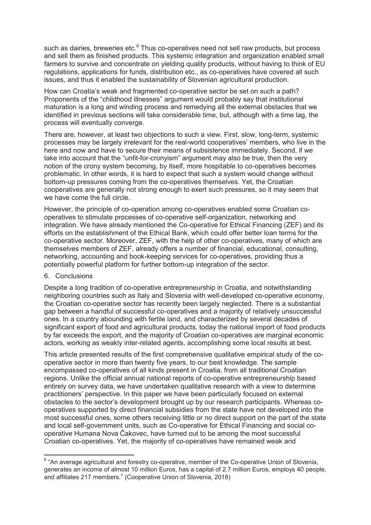such as dairies, breweries etc.<sup>6</sup> Thus co-operatives need not sell raw products, but process and sell them as finished products. This systemic integration and organization enabled small farmers to survive and concentrate on yielding quality products, without having to think of EU regulations, applications for funds, distribution etc., as co-operatives have covered all such issues, and thus it enabled the sustainability of Slovenian agricultural production.

How can Croatia's weak and fragmented co-operative sector be set on such a path? Proponents of the "childhood illnesses" argument would probably say that institutional maturation is a long and winding process and remedying all the external obstacles that we identified in previous sections will take considerable time, but, although with a time lag, the process will eventually converge.

There are, however, at least two objections to such a view. First, slow, long-term, systemic processes may be largely irrelevant for the real-world cooperatives' members, who live in the here and now and have to secure their means of subsistence immediately. Second, if we take into account that the "unfit-for-cronyism" argument may also be true, then the very notion of the crony system becoming, by itself, more hospitable to co-operatives becomes problematic. In other words, it is hard to expect that such a system would change without bottom-up pressures coming from the co-operatives themselves. Yet, the Croatian cooperatives are generally not strong enough to exert such pressures, so it may seem that we have come the full circle.

However, the principle of co-operation among co-operatives enabled some Croatian cooperatives to stimulate processes of co-operative self-organization, networking and integration. We have already mentioned the Co-operative for Ethical Financing (ZEF) and its efforts on the establishment of the Ethical Bank, which could offer better loan terms for the co-operative sector. Moreover, ZEF, with the help of other co-operatives, many of which are themselves members of ZEF, already offers a number of financial, educational, consulting, networking, accounting and book-keeping services for co-operatives, providing thus a potentially powerful platform for further bottom-up integration of the sector.

#### 6. Conclusions

 $\overline{a}$ 

Despite a long tradition of co-operative entrepreneurship in Croatia, and notwithstanding neighboring countries such as Italy and Slovenia with well-developed co-operative economy, the Croatian co-operative sector has recently been largely neglected. There is a substantial gap between a handful of successful co-operatives and a majority of relatively unsuccessful ones. In a country abounding with fertile land, and characterized by several decades of significant export of food and agricultural products, today the national import of food products by far exceeds the export, and the majority of Croatian co-operatives are marginal economic actors, working as weakly inter-related agents, accomplishing some local results at best.

This article presented results of the first comprehensive qualitative empirical study of the cooperative sector in more than twenty five years, to our best knowledge. The sample encompassed co-operatives of all kinds present in Croatia, from all traditional Croatian regions. Unlike the official annual national reports of co-operative entrepreneurship based entirely on survey data, we have undertaken qualitative research with a view to determine practitioners' perspective. In this paper we have been particularly focused on external obstacles to the sector's development brought up by our research participants. Whereas cooperatives supported by direct financial subsidies from the state have not developed into the most successful ones, some others receiving little or no direct support on the part of the state and local self-government units, such as Co-operative for Ethical Financing and social cooperative Humana Nova Čakovec, have turned out to be among the most successful Croatian co-operatives. Yet, the majority of co-operatives have remained weak and

<sup>&</sup>lt;sup>6</sup> "An average agricultural and forestry co-operative, member of the Co-operative Union of Slovenia, generates an income of almost 10 million Euros, has a capital of 2.7 million Euros, employs 40 people, and affiliates 217 members." (Cooperative Union of Slovenia, 2018)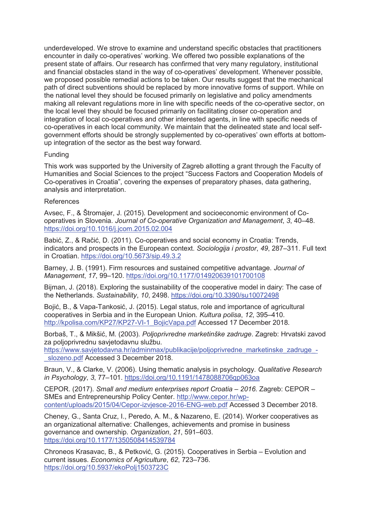underdeveloped. We strove to examine and understand specific obstacles that practitioners encounter in daily co-operatives' working. We offered two possible explanations of the present state of affairs. Our research has confirmed that very many regulatory, institutional and financial obstacles stand in the way of co-operatives' development. Whenever possible, we proposed possible remedial actions to be taken. Our results suggest that the mechanical path of direct subventions should be replaced by more innovative forms of support. While on the national level they should be focused primarily on legislative and policy amendments making all relevant regulations more in line with specific needs of the co-operative sector, on the local level they should be focused primarily on facilitating closer co-operation and integration of local co-operatives and other interested agents, in line with specific needs of co-operatives in each local community. We maintain that the delineated state and local selfgovernment efforts should be strongly supplemented by co-operatives' own efforts at bottomup integration of the sector as the best way forward.

## **Funding**

This work was supported by the University of Zagreb allotting a grant through the Faculty of Humanities and Social Sciences to the project "Success Factors and Cooperation Models of Co-operatives in Croatia", covering the expenses of preparatory phases, data gathering, analysis and interpretation.

## References

Avsec, F., & Štromajer, J. (2015). Development and socioeconomic environment of Cooperatives in Slovenia. *Journal of Co-operative Organization and Management*, *3*, 40–48. https://doi.org/10.1016/j.jcom.2015.02.004

Babić, Z., & Račić, D. (2011). Co-operatives and social economy in Croatia: Trends, indicators and prospects in the European context. *Sociologija i prostor*, *49*, 287–311. Full text in Croatian. https://doi.org/10.5673/sip.49.3.2

Barney, J. B. (1991). Firm resources and sustained competitive advantage. *Journal of Management*, *17*, 99–120. https://doi.org/10.1177/014920639101700108

Bijman, J. (2018). Exploring the sustainability of the cooperative model in dairy: The case of the Netherlands. *Sustainability*, *10*, 2498. https://doi.org/10.3390/su10072498

Bojić, B., & Vapa-Tankosić, J. (2015). Legal status, role and importance of agricultural cooperatives in Serbia and in the European Union. *Kultura polisa*, *12*, 395–410. http://kpolisa.com/KP27/KP27-VI-1\_BojicVapa.pdf Accessed 17 December 2018.

Borbaš, T., & Mikšić, M. (2003). *Poljoprivredne marketinške zadruge*. Zagreb: Hrvatski zavod za poljoprivrednu savjetodavnu službu.

https://www.savjetodavna.hr/adminmax/publikacije/poljoprivredne\_marketinske\_zadruge\_-\_slozeno.pdf Accessed 3 December 2018.

Braun, V., & Clarke, V. (2006). Using thematic analysis in psychology. *Qualitative Research in Psychology*, *3*, 77–101. https://doi.org/10.1191/1478088706qp063oa

CEPOR. (2017). *Small and medium enterprises report Croatia* – *2016*. Zagreb: CEPOR – SMEs and Entrepreneurship Policy Center. http://www.cepor.hr/wpcontent/uploads/2015/04/Cepor-izvjesce-2016-ENG-web.pdf Accessed 3 December 2018.

Cheney, G., Santa Cruz, I., Peredo, A. M., & Nazareno, E. (2014). Worker cooperatives as an organizational alternative: Challenges, achievements and promise in business governance and ownership. *Organization*, *21*, 591–603. https://doi.org/10.1177/1350508414539784

Chroneos Krasavac, B., & Petković, G. (2015). Cooperatives in Serbia – Evolution and current issues. *Economics of Agriculture*, *62*, 723–736. https://doi.org/10.5937/ekoPolj1503723C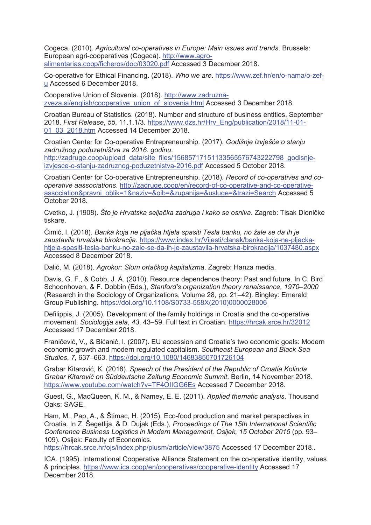Cogeca. (2010). *Agricultural co-operatives in Europe: Main issues and trends*. Brussels: European agri-cooperatives (Cogeca). http://www.agroalimentarias.coop/ficheros/doc/03020.pdf Accessed 3 December 2018.

Co-operative for Ethical Financing. (2018). *Who we are*. https://www.zef.hr/en/o-nama/o-zefu Accessed 6 December 2018.

Cooperative Union of Slovenia. (2018). http://www.zadruznazveza.si/english/cooperative\_union\_of\_slovenia.html Accessed 3 December 2018.

Croatian Bureau of Statistics. (2018). Number and structure of business entities, September 2018. *First Release*, *55*, 11.1.1/3. https://www.dzs.hr/Hrv\_Eng/publication/2018/11-01- 01\_03\_2018.htm Accessed 14 December 2018.

Croatian Center for Co-operative Entrepreneurship. (2017). *Godišnje izvješće o stanju zadružnog poduzetništva za 2016. godinu*.

http://zadruge.coop/upload\_data/site\_files/15685717151133565576743222798\_godisnjeizvjesce-o-stanju-zadruznog-poduzetnistva-2016.pdf Accessed 5 October 2018.

Croatian Center for Co-operative Entrepreneurship. (2018). *Record of co-operatives and cooperative aassociations*. http://zadruge.coop/en/record-of-co-operative-and-co-operativeassociation&pravni\_oblik=1&naziv=&oib=&zupanija=&usluge=&trazi=Search Accessed 5 October 2018.

Cvetko, J. (1908). *Što je Hrvatska seljačka zadruga i kako se osniva*. Zagreb: Tisak Dioničke tiskare.

Ćimić, I. (2018). *Banka koja ne pljačka htjela spasiti Tesla banku, no žale se da ih je zaustavila hrvatska birokracija*. https://www.index.hr/Vijesti/clanak/banka-koja-ne-pljackahtjela-spasiti-tesla-banku-no-zale-se-da-ih-je-zaustavila-hrvatska-birokracija/1037480.aspx Accessed 8 December 2018.

Dalić, M. (2018). *Agrokor: Slom ortačkog kapitalizma*. Zagreb: Hanza media.

Davis, G. F., & Cobb, J. A. (2010). Resource dependence theory: Past and future. In C. Bird Schoonhoven, & F. Dobbin (Eds.), *Stanford's organization theory renaissance, 1970–2000* (Research in the Sociology of Organizations, Volume 28, pp. 21–42). Bingley: Emerald Group Publishing. https://doi.org/10.1108/S0733-558X(2010)0000028006

Defilippis, J. (2005). Development of the family holdings in Croatia and the co-operative movement. *Sociologija sela*, *43*, 43–59. Full text in Croatian. https://hrcak.srce.hr/32012 Accessed 17 December 2018.

Franičević, V., & Bićanić, I. (2007). EU accession and Croatia's two economic goals: Modern economic growth and modern regulated capitalism. *Southeast European and Black Sea Studies*, *7*, 637–663. https://doi.org/10.1080/14683850701726104

Grabar Kitarović, K. (2018). *Speech of the President of the Republic of Croatia Kolinda Grabar Kitarović on Süddeutsche Zeitung Economic Summit*. Berlin, 14 November 2018. https://www.youtube.com/watch?v=TF4OIIGG6Es Accessed 7 December 2018.

Guest, G., MacQueen, K. M., & Namey, E. E. (2011). *Applied thematic analysis*. Thousand Oaks: SAGE.

Ham, M., Pap, A., & Štimac, H. (2015). Eco-food production and market perspectives in Croatia. In Z. Šegetlija, & D. Dujak (Eds.), *Proceedings of The 15th International Scientific Conference Business Logistics in Modern Management, Osijek, 15 October 2015* (pp. 93– 109). Osijek: Faculty of Economics.

https://hrcak.srce.hr/ojs/index.php/plusm/article/view/3875 Accessed 17 December 2018..

ICA. (1995). International Cooperative Alliance Statement on the co-operative identity, values & principles. https://www.ica.coop/en/cooperatives/cooperative-identity Accessed 17 December 2018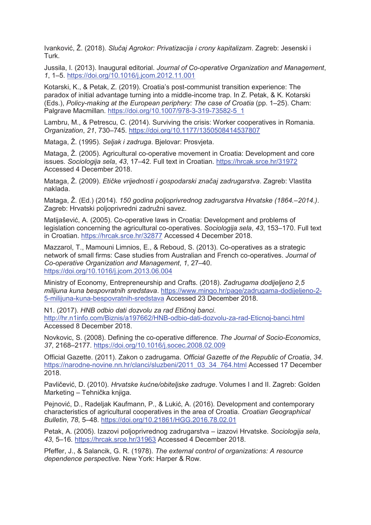Ivanković, Ž. (2018). *Slučaj Agrokor: Privatizacija i crony kapitalizam*. Zagreb: Jesenski i Turk.

Jussila, I. (2013). Inaugural editorial. *Journal of Co-operative Organization and Management*, *1*, 1–5. https://doi.org/10.1016/j.jcom.2012.11.001

Kotarski, K., & Petak, Z. (2019). Croatia's post-communist transition experience: The paradox of initial advantage turning into a middle-income trap. In Z. Petak, & K. Kotarski (Eds.), *Policy-making at the European periphery: The case of Croatia* (pp. 1–25). Cham: Palgrave Macmillan. https://doi.org/10.1007/978-3-319-73582-5\_1

Lambru, M., & Petrescu, C. (2014). Surviving the crisis: Worker cooperatives in Romania. *Organization*, *21*, 730–745. https://doi.org/10.1177/1350508414537807

Mataga, Ž. (1995). *Seljak i zadruga*. Bjelovar: Prosvjeta.

Mataga, Ž. (2005). Agricultural co-operative movement in Croatia: Development and core issues. *Sociologija sela*, *43*, 17–42. Full text in Croatian. https://hrcak.srce.hr/31972 Accessed 4 December 2018.

Mataga, Ž. (2009). *Etičke vrijednosti i gospodarski značaj zadrugarstva*. Zagreb: Vlastita naklada.

Mataga, Ž. (Ed.) (2014). *150 godina poljoprivrednog zadrugarstva Hrvatske (1864.–2014.)*. Zagreb: Hrvatski poljoprivredni zadružni savez.

Matijašević, A. (2005). Co-operative laws in Croatia: Development and problems of legislation concerning the agricultural co-operatives. *Sociologija sela*, *43*, 153–170. Full text in Croatian. https://hrcak.srce.hr/32877 Accessed 4 December 2018.

Mazzarol, T., Mamouni Limnios, E., & Reboud, S. (2013). Co-operatives as a strategic network of small firms: Case studies from Australian and French co-operatives. *Journal of Co-operative Organization and Management*, *1*, 27–40. https://doi.org/10.1016/j.jcom.2013.06.004

Ministry of Economy, Entrepreneurship and Crafts. (2018). *Zadrugama dodijeljeno 2,5 milijuna kuna bespovratnih sredstava*. https://www.mingo.hr/page/zadrugama-dodijeljeno-2- 5-milijuna-kuna-bespovratnih-sredstava Accessed 23 December 2018.

N1. (2017). *HNB odbio dati dozvolu za rad Etičnoj banci*. http://hr.n1info.com/Biznis/a197662/HNB-odbio-dati-dozvolu-za-rad-Eticnoj-banci.html Accessed 8 December 2018.

Novkovic, S. (2008). Defining the co-operative difference. *The Journal of Socio-Economics*, *37*, 2168–2177. https://doi.org/10.1016/j.socec.2008.02.009

Official Gazette. (2011). Zakon o zadrugama. *Official Gazette of the Republic of Croatia*, *34*. https://narodne-novine.nn.hr/clanci/sluzbeni/2011\_03\_34\_764.html Accessed 17 December 2018.

Pavličević, D. (2010). *Hrvatske kućne/obiteljske zadruge*. Volumes I and II. Zagreb: Golden Marketing – Tehnička knjiga.

Pejnović, D., Radeljak Kaufmann, P., & Lukić, A. (2016). Development and contemporary characteristics of agricultural cooperatives in the area of Croatia. *Croatian Geographical Bulletin*, *78*, 5–48. https://doi.org/10.21861/HGG.2016.78.02.01

Petak, A. (2005). Izazovi poljoprivrednog zadrugarstva – izazovi Hrvatske. *Sociologija sela*, *43*, 5–16. https://hrcak.srce.hr/31963 Accessed 4 December 2018.

Pfeffer, J., & Salancik, G. R. (1978). *The external control of organizations: A resource dependence perspective*. New York: Harper & Row.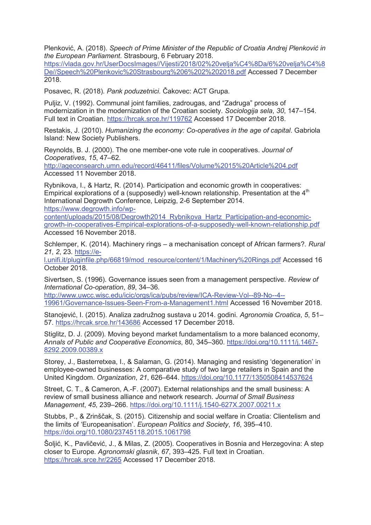Plenković, A. (2018). *Speech of Prime Minister of the Republic of Croatia Andrej Plenković in the European Parliament*. Strasbourg, 6 February 2018.

https://vlada.gov.hr/UserDocsImages//Vijesti/2018/02%20velja%C4%8Da/6%20velja%C4%8 De//Speech%20Plenkovic%20Strasbourg%206%202%202018.pdf Accessed 7 December 2018.

Posavec, R. (2018). *Pank poduzetnici*. Čakovec: ACT Grupa.

Puljiz, V. (1992). Communal joint families, zadrougas, and "Zadruga" process of modernization in the modernization of the Croatian society. *Sociologija sela*, *30*, 147–154. Full text in Croatian. https://hrcak.srce.hr/119762 Accessed 17 December 2018.

Restakis, J. (2010). *Humanizing the economy: Co-operatives in the age of capital*. Gabriola Island: New Society Publishers.

Reynolds, B. J. (2000). The one member-one vote rule in cooperatives. *Journal of Cooperatives*, *15*, 47–62.

http://ageconsearch.umn.edu/record/46411/files/Volume%2015%20Article%204.pdf Accessed 11 November 2018.

Rybnikova, I., & Hartz, R. (2014). Participation and economic growth in cooperatives: Empirical explorations of a (supposedly) well-known relationship. Presentation at the  $4<sup>th</sup>$ International Degrowth Conference, Leipzig, 2-6 September 2014. https://www.degrowth.info/wp-

content/uploads/2015/08/Degrowth2014\_Rybnikova\_Hartz\_Participation-and-economicgrowth-in-cooperatives-Empirical-explorations-of-a-supposedly-well-known-relationship.pdf Accessed 16 November 2018.

Schlemper, K. (2014). Machinery rings – a mechanisation concept of African farmers?. *Rural 21*, *2*, 23. https://e-

l.unifi.it/pluginfile.php/66819/mod\_resource/content/1/Machinery%20Rings.pdf Accessed 16 October 2018.

Sivertsen, S. (1996). Governance issues seen from a management perspective. *Review of International Co-operation*, *89*, 34–36.

http://www.uwcc.wisc.edu/icic/orgs/ica/pubs/review/ICA-Review-Vol--89-No--4-- 19961/Governance-Issues-Seen-From-a-Management1.html Accessed 16 November 2018.

Stanojević, I. (2015). Analiza zadružnog sustava u 2014. godini. *Agronomia Croatica*, *5*, 51– 57. https://hrcak.srce.hr/143686 Accessed 17 December 2018.

Stiglitz, D. J. (2009). Moving beyond market fundamentalism to a more balanced economy, *Annals of Public and Cooperative Economics*, 80, 345–360. https://doi.org/10.1111/j.1467- 8292.2009.00389.x

Storey, J., Basterretxea, I., & Salaman, G. (2014). Managing and resisting 'degeneration' in employee-owned businesses: A comparative study of two large retailers in Spain and the United Kingdom. *Organization*, *21*, 626–644. https://doi.org/10.1177/1350508414537624

Street, C. T., & Cameron, A.-F. (2007). External relationships and the small business: A review of small business alliance and network research. *Journal of Small Business Management*, *45*, 239–266. https://doi.org/10.1111/j.1540-627X.2007.00211.x

Stubbs, P., & Zrinščak, S. (2015). Citizenship and social welfare in Croatia: Clientelism and the limits of 'Europeanisation'. *European Politics and Society*, *16*, 395–410. https://doi.org/10.1080/23745118.2015.1061798

Šoljić, K., Pavličević, J., & Milas, Z. (2005). Cooperatives in Bosnia and Herzegovina: A step closer to Europe. *Agronomski glasnik*, *67*, 393–425. Full text in Croatian. https://hrcak.srce.hr/2265 Accessed 17 December 2018.